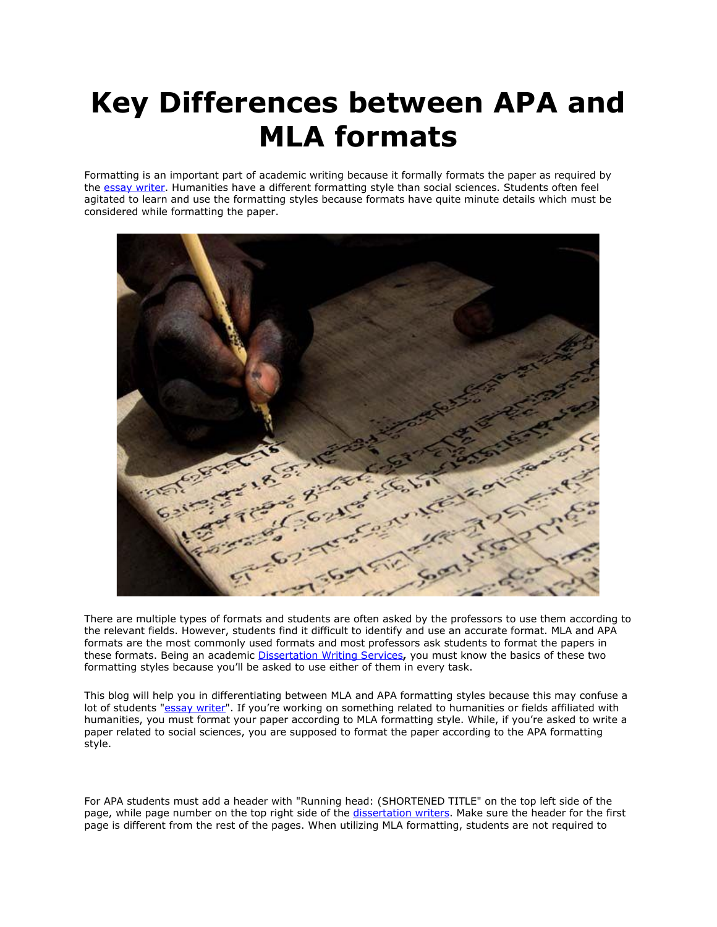## **Key Differences between APA and MLA formats**

Formatting is an important part of academic writing because it formally formats the paper as required by the [essay writer.](https://essayhours.com/) Humanities have a different formatting style than social sciences. Students often feel agitated to learn and use the formatting styles because formats have quite minute details which must be considered while formatting the paper.



There are multiple types of formats and students are often asked by the professors to use them according to the relevant fields. However, students find it difficult to identify and use an accurate format. MLA and APA formats are the most commonly used formats and most professors ask students to format the papers in these formats. Being an academic [Dissertation Writing Services](https://gradschoolgenius.com/)**,** you must know the basics of these two formatting styles because you'll be asked to use either of them in every task.

This blog will help you in differentiating between MLA and APA formatting styles because this may confuse a lot of students ["essay writer](https://www.freeessaywriter.net/)". If you're working on something related to humanities or fields affiliated with humanities, you must format your paper according to MLA formatting style. While, if you're asked to write a paper related to social sciences, you are supposed to format the paper according to the APA formatting style.

For APA students must add a header with "Running head: (SHORTENED TITLE" on the top left side of the page, while page number on the top right side of the [dissertation writers.](https://gradschoolgenius.com/professional-dissertation-writers) Make sure the header for the first page is different from the rest of the pages. When utilizing MLA formatting, students are not required to